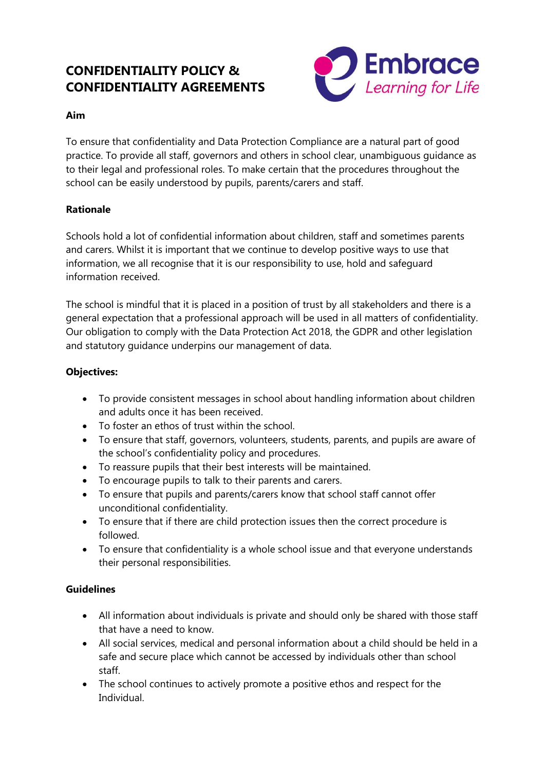# **CONFIDENTIALITY POLICY & CONFIDENTIALITY AGREEMENTS**



#### **Aim**

To ensure that confidentiality and Data Protection Compliance are a natural part of good practice. To provide all staff, governors and others in school clear, unambiguous guidance as to their legal and professional roles. To make certain that the procedures throughout the school can be easily understood by pupils, parents/carers and staff.

#### **Rationale**

Schools hold a lot of confidential information about children, staff and sometimes parents and carers. Whilst it is important that we continue to develop positive ways to use that information, we all recognise that it is our responsibility to use, hold and safeguard information received.

The school is mindful that it is placed in a position of trust by all stakeholders and there is a general expectation that a professional approach will be used in all matters of confidentiality. Our obligation to comply with the Data Protection Act 2018, the GDPR and other legislation and statutory guidance underpins our management of data.

## **Objectives:**

- To provide consistent messages in school about handling information about children and adults once it has been received.
- To foster an ethos of trust within the school.
- To ensure that staff, governors, volunteers, students, parents, and pupils are aware of the school's confidentiality policy and procedures.
- To reassure pupils that their best interests will be maintained.
- To encourage pupils to talk to their parents and carers.
- To ensure that pupils and parents/carers know that school staff cannot offer unconditional confidentiality.
- To ensure that if there are child protection issues then the correct procedure is followed.
- To ensure that confidentiality is a whole school issue and that everyone understands their personal responsibilities.

#### **Guidelines**

- All information about individuals is private and should only be shared with those staff that have a need to know.
- All social services, medical and personal information about a child should be held in a safe and secure place which cannot be accessed by individuals other than school staff.
- The school continues to actively promote a positive ethos and respect for the Individual.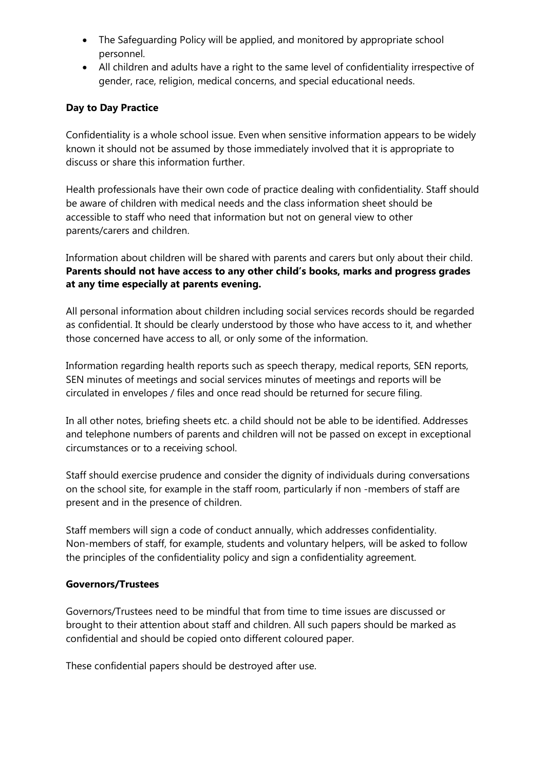- The Safeguarding Policy will be applied, and monitored by appropriate school personnel.
- All children and adults have a right to the same level of confidentiality irrespective of gender, race, religion, medical concerns, and special educational needs.

# **Day to Day Practice**

Confidentiality is a whole school issue. Even when sensitive information appears to be widely known it should not be assumed by those immediately involved that it is appropriate to discuss or share this information further.

Health professionals have their own code of practice dealing with confidentiality. Staff should be aware of children with medical needs and the class information sheet should be accessible to staff who need that information but not on general view to other parents/carers and children.

Information about children will be shared with parents and carers but only about their child. **Parents should not have access to any other child's books, marks and progress grades at any time especially at parents evening.**

All personal information about children including social services records should be regarded as confidential. It should be clearly understood by those who have access to it, and whether those concerned have access to all, or only some of the information.

Information regarding health reports such as speech therapy, medical reports, SEN reports, SEN minutes of meetings and social services minutes of meetings and reports will be circulated in envelopes / files and once read should be returned for secure filing.

In all other notes, briefing sheets etc. a child should not be able to be identified. Addresses and telephone numbers of parents and children will not be passed on except in exceptional circumstances or to a receiving school.

Staff should exercise prudence and consider the dignity of individuals during conversations on the school site, for example in the staff room, particularly if non -members of staff are present and in the presence of children.

Staff members will sign a code of conduct annually, which addresses confidentiality. Non-members of staff, for example, students and voluntary helpers, will be asked to follow the principles of the confidentiality policy and sign a confidentiality agreement.

#### **Governors/Trustees**

Governors/Trustees need to be mindful that from time to time issues are discussed or brought to their attention about staff and children. All such papers should be marked as confidential and should be copied onto different coloured paper.

These confidential papers should be destroyed after use.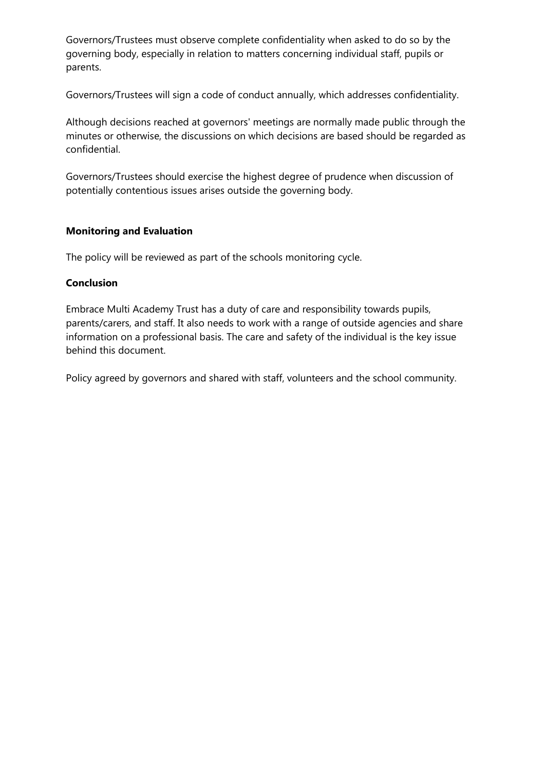Governors/Trustees must observe complete confidentiality when asked to do so by the governing body, especially in relation to matters concerning individual staff, pupils or parents.

Governors/Trustees will sign a code of conduct annually, which addresses confidentiality.

Although decisions reached at governors' meetings are normally made public through the minutes or otherwise, the discussions on which decisions are based should be regarded as confidential.

Governors/Trustees should exercise the highest degree of prudence when discussion of potentially contentious issues arises outside the governing body.

## **Monitoring and Evaluation**

The policy will be reviewed as part of the schools monitoring cycle.

## **Conclusion**

Embrace Multi Academy Trust has a duty of care and responsibility towards pupils, parents/carers, and staff. It also needs to work with a range of outside agencies and share information on a professional basis. The care and safety of the individual is the key issue behind this document.

Policy agreed by governors and shared with staff, volunteers and the school community.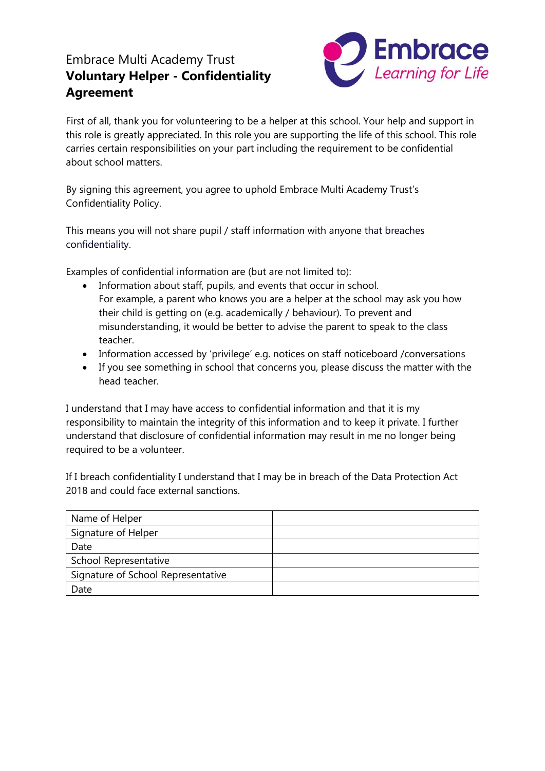# Embrace Multi Academy Trust **Voluntary Helper - Confidentiality Agreement**



First of all, thank you for volunteering to be a helper at this school. Your help and support in this role is greatly appreciated. In this role you are supporting the life of this school. This role carries certain responsibilities on your part including the requirement to be confidential about school matters.

By signing this agreement, you agree to uphold Embrace Multi Academy Trust's Confidentiality Policy.

This means you will not share pupil / staff information with anyone that breaches confidentiality.

Examples of confidential information are (but are not limited to):

- Information about staff, pupils, and events that occur in school. For example, a parent who knows you are a helper at the school may ask you how their child is getting on (e.g. academically / behaviour). To prevent and misunderstanding, it would be better to advise the parent to speak to the class teacher.
- Information accessed by 'privilege' e.g. notices on staff noticeboard /conversations
- If you see something in school that concerns you, please discuss the matter with the head teacher.

I understand that I may have access to confidential information and that it is my responsibility to maintain the integrity of this information and to keep it private. I further understand that disclosure of confidential information may result in me no longer being required to be a volunteer.

If I breach confidentiality I understand that I may be in breach of the Data Protection Act 2018 and could face external sanctions.

| Name of Helper                     |  |
|------------------------------------|--|
| Signature of Helper                |  |
| Date                               |  |
| <b>School Representative</b>       |  |
| Signature of School Representative |  |
| Date                               |  |